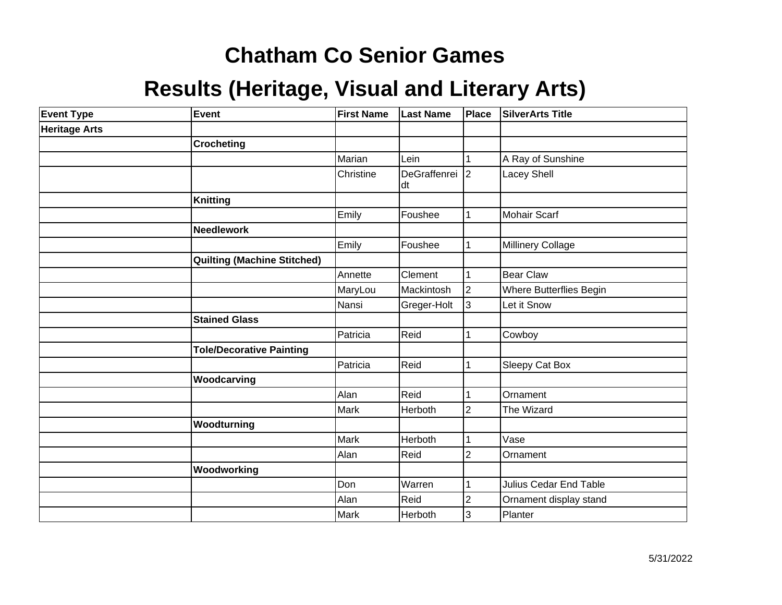#### **Chatham Co Senior Games**

# **Results (Heritage, Visual and Literary Arts)**

| <b>Event Type</b>    | Event                           | <b>First Name</b> | <b>Last Name</b>      | Place          | <b>SilverArts Title</b> |
|----------------------|---------------------------------|-------------------|-----------------------|----------------|-------------------------|
| <b>Heritage Arts</b> |                                 |                   |                       |                |                         |
|                      | <b>Crocheting</b>               |                   |                       |                |                         |
|                      |                                 | Marian            | Lein                  |                | A Ray of Sunshine       |
|                      |                                 | Christine         | DeGraffenrei 2<br> dt |                | Lacey Shell             |
|                      | <b>Knitting</b>                 |                   |                       |                |                         |
|                      |                                 | Emily             | Foushee               |                | Mohair Scarf            |
|                      | Needlework                      |                   |                       |                |                         |
|                      |                                 | Emily             | Foushee               | 1              | Millinery Collage       |
|                      | Quilting (Machine Stitched)     |                   |                       |                |                         |
|                      |                                 | Annette           | Clement               | 1              | Bear Claw               |
|                      |                                 | MaryLou           | Mackintosh            | $\vert$ 2      | Where Butterflies Begin |
|                      |                                 | Nansi             | Greger-Holt           | 3              | Let it Snow             |
|                      | <b>Stained Glass</b>            |                   |                       |                |                         |
|                      |                                 | Patricia          | Reid                  | 1              | Cowboy                  |
|                      | <b>Tole/Decorative Painting</b> |                   |                       |                |                         |
|                      |                                 | Patricia          | Reid                  | 1              | Sleepy Cat Box          |
|                      | Woodcarving                     |                   |                       |                |                         |
|                      |                                 | Alan              | Reid                  | 1              | Ornament                |
|                      |                                 | Mark              | Herboth               | $\overline{c}$ | The Wizard              |
|                      | Woodturning                     |                   |                       |                |                         |
|                      |                                 | <b>Mark</b>       | Herboth               | 1              | Vase                    |
|                      |                                 | Alan              | Reid                  | $\overline{2}$ | Ornament                |
|                      | Woodworking                     |                   |                       |                |                         |
|                      |                                 | Don               | Warren                | 1              | Julius Cedar End Table  |
|                      |                                 | Alan              | Reid                  | $\overline{2}$ | Ornament display stand  |
|                      |                                 | Mark              | Herboth               | 3              | Planter                 |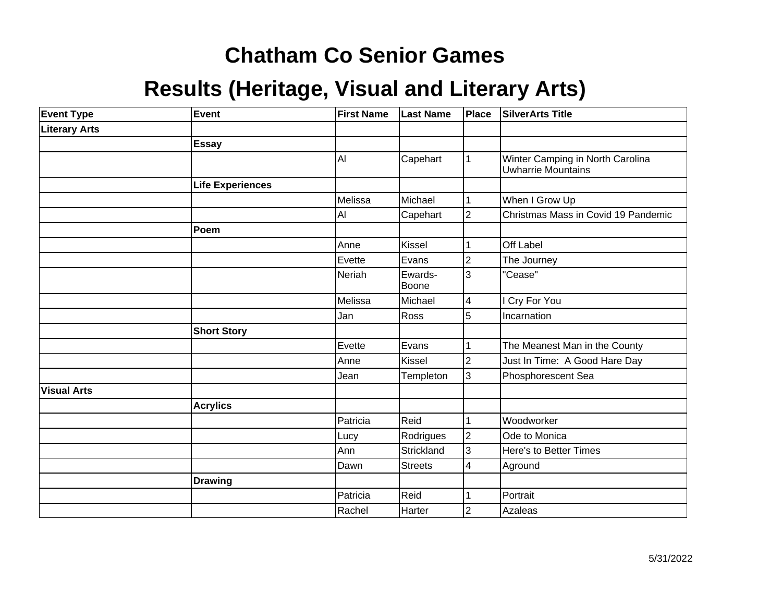#### **Chatham Co Senior Games**

# **Results (Heritage, Visual and Literary Arts)**

| <b>Event Type</b>    | Event                   | <b>First Name</b> | <b>Last Name</b> | <b>Place</b>   | <b>SilverArts Title</b>                                       |
|----------------------|-------------------------|-------------------|------------------|----------------|---------------------------------------------------------------|
| <b>Literary Arts</b> |                         |                   |                  |                |                                                               |
|                      | <b>Essay</b>            |                   |                  |                |                                                               |
|                      |                         | Al                | Capehart         | 1              | Winter Camping in North Carolina<br><b>Uwharrie Mountains</b> |
|                      | <b>Life Experiences</b> |                   |                  |                |                                                               |
|                      |                         | Melissa           | Michael          | 1              | When I Grow Up                                                |
|                      |                         | Al                | Capehart         | $\overline{2}$ | Christmas Mass in Covid 19 Pandemic                           |
|                      | Poem                    |                   |                  |                |                                                               |
|                      |                         | Anne              | Kissel           |                | Off Label                                                     |
|                      |                         | Evette            | Evans            | $\overline{2}$ | The Journey                                                   |
|                      |                         | Neriah            | Ewards-<br>Boone | 3              | "Cease"                                                       |
|                      |                         | Melissa           | Michael          | 4              | Cry For You                                                   |
|                      |                         | Jan               | Ross             | 5              | Incarnation                                                   |
|                      | <b>Short Story</b>      |                   |                  |                |                                                               |
|                      |                         | Evette            | Evans            |                | The Meanest Man in the County                                 |
|                      |                         | Anne              | Kissel           | $\overline{2}$ | Just In Time: A Good Hare Day                                 |
|                      |                         | Jean              | Templeton        | 3              | Phosphorescent Sea                                            |
| <b>Visual Arts</b>   |                         |                   |                  |                |                                                               |
|                      | <b>Acrylics</b>         |                   |                  |                |                                                               |
|                      |                         | Patricia          | Reid             | 1              | Woodworker                                                    |
|                      |                         | Lucy              | Rodrigues        | $\overline{2}$ | Ode to Monica                                                 |
|                      |                         | Ann               | Strickland       | 3              | Here's to Better Times                                        |
|                      |                         | Dawn              | <b>Streets</b>   | 4              | Aground                                                       |
|                      | <b>Drawing</b>          |                   |                  |                |                                                               |
|                      |                         | Patricia          | Reid             | 1              | Portrait                                                      |
|                      |                         | Rachel            | Harter           | $\overline{2}$ | Azaleas                                                       |